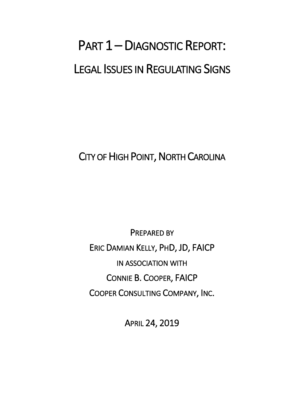# PART 1 - DIAGNOSTIC REPORT: LEGAL ISSUES IN REGULATING SIGNS

CITY OF HIGH POINT, NORTH CAROLINA

PREPARED BY ERIC DAMIAN KELLY, PHD, JD, FAICP IN ASSOCIATION WITH CONNIE B. COOPER, FAICP COOPER CONSULTING COMPANY, INC.

APRIL 24, 2019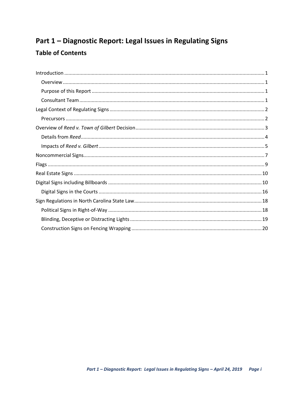# Part 1 - Diagnostic Report: Legal Issues in Regulating Signs

# **Table of Contents**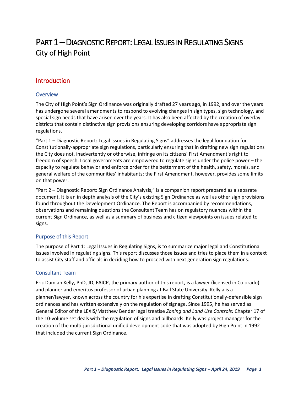# PART 1 – DIAGNOSTIC REPORT: LEGAL ISSUES IN REGULATING SIGNS City of High Point

# <span id="page-2-0"></span>Introduction

#### <span id="page-2-1"></span>**Overview**

The City of High Point's Sign Ordinance was originally drafted 27 years ago, in 1992, and over the years has undergone several amendments to respond to evolving changes in sign types, sign technology, and special sign needs that have arisen over the years. It has also been affected by the creation of overlay districts that contain distinctive sign provisions ensuring developing corridors have appropriate sign regulations.

"Part 1 – Diagnostic Report: Legal Issues in Regulating Signs" addresses the legal foundation for Constitutionally-appropriate sign regulations, particularly ensuring that in drafting new sign regulations the City does not, inadvertently or otherwise, infringe on its citizens' First Amendment's right to freedom of speech. Local governments are empowered to regulate signs under the police power – the capacity to regulate behavior and enforce order for the betterment of the health, safety, morals, and general welfare of the communities' inhabitants; the First Amendment, however, provides some limits on that power.

"Part 2 – Diagnostic Report: Sign Ordinance Analysis," is a companion report prepared as a separate document. It is an in depth analysis of the City's existing Sign Ordinance as well as other sign provisions found throughout the Development Ordinance. The Report is accompanied by recommendations, observations and remaining questions the Consultant Team has on regulatory nuances within the current Sign Ordinance, as well as a summary of business and citizen viewpoints on issues related to signs.

#### <span id="page-2-2"></span>Purpose of this Report

The purpose of Part 1: Legal Issues in Regulating Signs, is to summarize major legal and Constitutional issues involved in regulating signs. This report discusses those issues and tries to place them in a context to assist City staff and officials in deciding how to proceed with next generation sign regulations.

#### <span id="page-2-3"></span>Consultant Team

Eric Damian Kelly, PhD, JD, FAICP, the primary author of this report, is a lawyer (licensed in Colorado) and planner and emeritus professor of urban planning at Ball State University. Kelly a is a planner/lawyer, known across the country for his expertise in drafting Constitutionally-defensible sign ordinances and has written extensively on the regulation of signage. Since 1995, he has served as General Editor of the LEXIS/Matthew Bender legal treatise *Zoning and Land Use Controls;* Chapter 17 of the 10-volume set deals with the regulation of signs and billboards. Kelly was project manager for the creation of the multi-jurisdictional unified development code that was adopted by High Point in 1992 that included the current Sign Ordinance.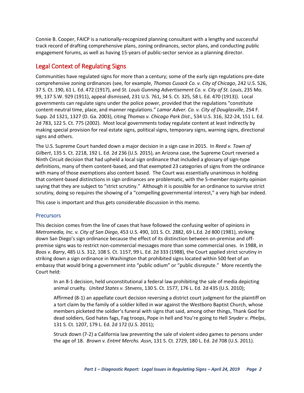Connie B. Cooper, FAICP is a nationally-recognized planning consultant with a lengthy and successful track record of drafting comprehensive plans, zoning ordinances, sector plans, and conducting public engagement forums, as well as having 15-years of public-sector service as a planning director.

# <span id="page-3-0"></span>Legal Context of Regulating Signs

Communities have regulated signs for more than a century; some of the early sign regulations pre-date comprehensive zoning ordinances (see, for example, *Thomas Cusack Co. v. City of Chicago*, 242 U.S. 526, 37 S. Ct. 190, 61 L. Ed. 472 (1917), and *St. Louis Gunning Advertisement Co. v. City of St. Louis*, 235 Mo. 99, 137 S.W. 929 (1911), appeal dismissed, 231 U.S. 761, 34 S. Ct. 325, 58 L. Ed. 470 (1913)). Local governments can regulate signs under the police power, provided that the regulations "constitute content-neutral time, place, and manner regulations." *Lamar Adver. Co. v. City of Douglasville*, 254 F. Supp. 2d 1321, 1327 (D. Ga. 2003), citing *Thomas v. Chicago Park Dist*., 534 U.S. 316, 322-24, 151 L. Ed. 2d 783, 122 S. Ct. 775 (2002). Most local governments today regulate content at least indirectly by making special provision for real estate signs, political signs, temporary signs, warning signs, directional signs and others.

The U.S. Supreme Court handed down a major decision in a sign case in 2015. In *Reed v. Town of Gilbert*, 135 S. Ct. 2218, 192 L. Ed. 2d 236 (U.S. 2015), an Arizona case, the Supreme Court reversed a Ninth Circuit decision that had upheld a local sign ordinance that included a glossary of sign-type definitions, many of them content-based, and that exempted 23 categories of signs from the ordinance with many of those exemptions also content based. The Court was essentially unanimous in holding that content-based distinctions in sign ordinances are problematic, with the 5-member majority opinion saying that they are subject to "strict scrutiny." Although it is possible for an ordinance to survive strict scrutiny, doing so requires the showing of a "compelling governmental interest," a very high bar indeed.

This case is important and thus gets considerable discussion in this memo.

#### <span id="page-3-1"></span>**Precursors**

This decision comes from the line of cases that have followed the confusing welter of opinions in *Metromedia, Inc. v. City of San Diego*, 453 U.S. 490, 101 S. Ct. 2882, 69 L.Ed. 2d 800 (1981), striking down San Diego's sign ordinance because the effect of its distinction between on-premise and offpremise signs was to restrict non-commercial messages more than some commercial ones. In 1988, in *Boos v. Barry*, 485 U.S. 312, 108 S. Ct. 1157, 99 L. Ed. 2d 333 (1988), the Court applied strict scrutiny in striking down a sign ordinance in Washington that prohibited signs located within 500 feet of an embassy that would bring a government into "public odium" or "public disrepute." More recently the Court held:

In an 8-1 decision, held unconstitutional a federal law prohibiting the sale of media depicting animal cruelty. *United States v. Stevens*, 130 S. Ct. 1577, 176 L. Ed. 2d 435 (U.S. 2010);

Affirmed (8-1) an appellate court decision reversing a district court judgment for the plaintiff on a tort claim by the family of a soldier killed in war against the Westboro Baptist Church, whose members picketed the soldier's funeral with signs that said, among other things, Thank God for dead soldiers, God hates fags, Fag troops, Pope in hell and You're going to Hell *Snyder v. Phelps*, 131 S. Ct. 1207, 179 L. Ed. 2d 172 (U.S. 2011);

Struck down (7-2) a California law preventing the sale of violent video games to persons under the age of 18. *Brown v. Entmt Merchs. Assn*, 131 S. Ct. 2729, 180 L. Ed. 2d 708 (U.S. 2011).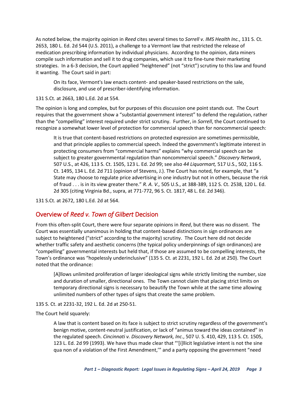As noted below, the majority opinion in *Reed* cites several times to *Sorrell v. IMS Health Inc.*, 131 S. Ct. 2653, 180 L. Ed. 2d 544 (U.S. 2011), a challenge to a Vermont law that restricted the release of medication prescribing information by individual physicians. According to the opinion, data miners compile such information and sell it to drug companies, which use it to fine-tune their marketing strategies. In a 6-3 decision, the Court applied "heightened" (not "strict") scrutiny to this law and found it wanting. The Court said in part:

On its face, Vermont's law enacts content- and speaker-based restrictions on the sale, disclosure, and use of prescriber-identifying information.

131 S.Ct. at 2663, 180 L.Ed. 2d at 554.

The opinion is long and complex, but for purposes of this discussion one point stands out. The Court requires that the government show a "substantial government interest" to defend the regulation, rather than the "compelling" interest required under strict scrutiny. Further, in *Sorrell*, the Court continued to recognize a somewhat lower level of protection for commercial speech than for noncommercial speech:

It is true that content-based restrictions on protected expression are sometimes permissible, and that principle applies to commercial speech. Indeed the government's legitimate interest in protecting consumers from "commercial harms" explains "why commercial speech can be subject to greater governmental regulation than noncommercial speech." *Discovery Network*, 507 U.S., at 426, 113 S. Ct. 1505, 123 L. Ed. 2d 99; see also *44 Liquormart,* 517 U.S., 502, 116 S. Ct. 1495, 134 L. Ed. 2d 711 (opinion of Stevens, J.). The Court has noted, for example, that "a State may choose to regulate price advertising in one industry but not in others, because the risk of fraud . . . is in its view greater there." *R. A. V.,* 505 U.S., at 388-389, 112 S. Ct. 2538, 120 L. Ed. 2d 305 (citing Virginia Bd., supra, at 771-772, 96 S. Ct. 1817, 48 L. Ed. 2d 346).

131 S.Ct. at 2672, 180 L.Ed. 2d at 564.

# <span id="page-4-0"></span>Overview of *Reed v. Town of Gilbert* Decision

From this often-split Court, there were four separate opinions in *Reed*, but there was no dissent. The Court was essentially unanimous in holding that content-based distinctions in sign ordinances are subject to heightened ("strict" according to the majority) scrutiny. The Court here did not decide whether traffic safety and aesthetic concerns (the typical policy underpinnings of sign ordinances) are "compelling" governmental interests but held that, if those are assumed to be compelling interests, the Town's ordinance was "hopelessly underinclusive" (135 S. Ct. at 2231, 192 L. Ed. 2d at 250). The Court noted that the ordinance:

[A]llows unlimited proliferation of larger ideological signs while strictly limiting the number, size and duration of smaller, directional ones. The Town cannot claim that placing strict limits on temporary directional signs is necessary to beautify the Town while at the same time allowing unlimited numbers of other types of signs that create the same problem.

#### 135 S. Ct. at 2231-32, 192 L. Ed. 2d at 250-51.

The Court held squarely:

A law that is content based on its face is subject to strict scrutiny regardless of the government's benign motive, content-neutral justification, or lack of "animus toward the ideas contained" in the regulated speech. *Cincinnati v. Discovery Network, Inc*., 507 U. S. 410, 429, 113 S. Ct. 1505, 123 L. Ed. 2d 99 (1993). We have thus made clear that "'[i]llicit legislative intent is not the sine qua non of a violation of the First Amendment,'" and a party opposing the government "need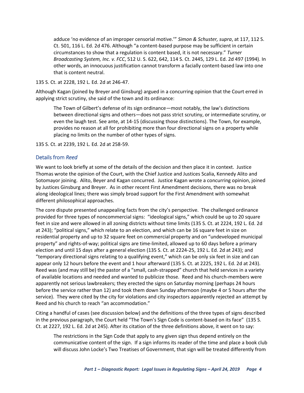adduce 'no evidence of an improper censorial motive.'" *Simon & Schuster, supra*, at 117, 112 S. Ct. 501, 116 L. Ed. 2d 476. Although "a content-based purpose may be sufficient in certain circumstances to show that a regulation is content based, it is not necessary." *Turner Broadcasting System, Inc. v. FCC*, 512 U. S. 622, 642, 114 S. Ct. 2445, 129 L. Ed. 2d 497 (1994). In other words, an innocuous justification cannot transform a facially content-based law into one that is content neutral.

135 S. Ct. at 2228, 192 L. Ed. 2d at 246-47.

Although Kagan (joined by Breyer and Ginsburg) argued in a concurring opinion that the Court erred in applying strict scrutiny, she said of the town and its ordinance:

The Town of Gilbert's defense of its sign ordinance—most notably, the law's distinctions between directional signs and others—does not pass strict scrutiny, or intermediate scrutiny, or even the laugh test. See ante, at 14-15 (discussing those distinctions). The Town, for example, provides no reason at all for prohibiting more than four directional signs on a property while placing no limits on the number of other types of signs.

135 S. Ct. at 2239, 192 L. Ed. 2d at 258-59.

#### <span id="page-5-0"></span>Details from *Reed*

We want to look briefly at some of the details of the decision and then place it in context. Justice Thomas wrote the opinion of the Court, with the Chief Justice and Justices Scalia, Kennedy Alito and Sotomayor joining. Alito, Beyer and Kagan concurred. Justice Kagan wrote a concurring opinion, joined by Justices Ginsburg and Breyer. As in other recent First Amendment decisions, there was no break along ideological lines; there was simply broad support for the First Amendment with somewhat different philosophical approaches.

The core dispute presented unappealing facts from the city's perspective. The challenged ordinance provided for three types of noncommercial signs: "ideological signs," which could be up to 20 square feet in size and were allowed in all zoning districts without time limits (135 S. Ct. at 2224, 192 L. Ed. 2d at 243); "political signs," which relate to an election, and which can be 16 square feet in size on residential property and up to 32 square feet on commercial property and on "undeveloped municipal property" and rights-of-way; political signs are time-limited, allowed up to 60 days before a primary election and until 15 days after a general election (135 S. Ct. at 2224-25, 192 L. Ed. 2d at 243); and "temporary directional signs relating to a qualifying event," which can be only six feet in size and can appear only 12 hours before the event and 1 hour afterward (135 S. Ct. at 2225, 192 L. Ed. 2d at 243). Reed was (and may still be) the pastor of a "small, cash-strapped" church that held services in a variety of available locations and needed and wanted to publicize those. Reed and his church-members were apparently not serious lawbreakers; they erected the signs on Saturday morning (perhaps 24 hours before the service rather than 12) and took them down Sunday afternoon (maybe 4 or 5 hours after the service). They were cited by the city for violations and city inspectors apparently rejected an attempt by Reed and his church to reach "an accommodation."

Citing a handful of cases (see discussion below) and the definitions of the three types of signs described in the previous paragraph, the Court held "The Town's Sign Code is content-based on its face" (135 S. Ct. at 2227, 192 L. Ed. 2d at 245). After its citation of the three definitions above, it went on to say:

The restrictions in the Sign Code that apply to any given sign thus depend entirely on the communicative content of the sign. If a sign informs its reader of the time and place a book club will discuss John Locke's Two Treatises of Government, that sign will be treated differently from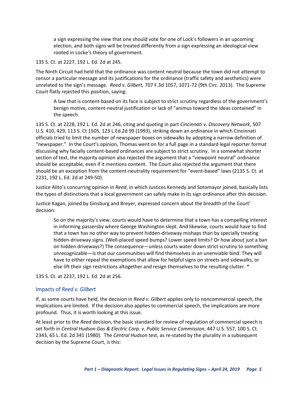a sign expressing the view that one should vote for one of Lock's followers in an upcoming election, and both signs will be treated differently from a sign expressing an ideological view rooted in Locke's theory of government.

135 S. Ct. at 2227, 192 L. Ed. 2d at 245.

The Ninth Circuit had held that the ordinance was content neutral because the town did not attempt to censor a particular message and its justifications for the ordinance (traffic safety and aesthetics) were unrelated to the sign's message. *Reed v. Gilbert,* 707 F.3d 1057, 1071-72 (9th Circ. 2013). The Supreme Court flatly rejected this position, saying:

A law that is content-based on its face is subject to strict scrutiny regardless of the government's benign motive, content-neutral justification or lack of "animus toward the ideas contained" in the speech.

135 S. Ct. at 2228, 192 L. Ed. 2d at 246, citing and quoting in part *Cincinnati v. Discovery Network*, 507 U.S. 410, 429, 113 S. Ct 1505, 123 L.Ed.2d 99 (1993), striking down an ordinance in which Cincinnati officials tried to limit the number of newspaper boxes on sidewalks by adopting a narrow definition of "newspaper." In the Court's opinion, Thomas went on for a full page in a standard legal reporter format discussing why facially content-based ordinances are subject to strict scrutiny. In a somewhat shorter section of text, the majority opinion also rejected the argument that a "viewpoint neutral" ordinance should be acceptable, even if it mentions content. The Court also rejected the argument that there should be an exception from the content-neutrality requirement for "event-based" laws (2135 S. Ct. at 2231, 192 L. Ed. 2d at 249-50).

Justice Alito's concurring opinion in *Reed*, in which Justices Kennedy and Sotomayor joined, basically lists the types of distinctions that a local government can safely make in its sign ordinance after this decision.

Justice Kagan, joined by Ginsburg and Breyer, expressed concern about the breadth of the Court' decision:

So on the majority's view, courts would have to determine that a town has a compelling interest in informing passersby where George Washington slept. And likewise, courts would have to find that a town has no other way to prevent hidden-driveway mishaps than by specially treating hidden-driveway signs. (Well-placed speed bumps? Lower speed limits? Or how about just a ban on hidden driveways?) The consequence—unless courts water down strict scrutiny to something unrecognizable—is that our communities will find themselves in an unenviable bind: They will have to either repeal the exemptions that allow for helpful signs on streets and sidewalks, or else lift their sign restrictions altogether and resign themselves to the resulting clutter. \*

135 S. Ct. at 2237, 192 L. Ed. 2d at 256.

#### <span id="page-6-0"></span>Impacts of *Reed v. Gilbert*

If, as some courts have held, the decision in *Reed v. Gilbert* applies only to noncommercial speech, the implications are limited. If the decision also applies to commercial speech, the implications are more profound. Thus, it is worth looking at this issue.

At least prior to the *Reed* decision, the basic standard for review of regulation of commercial speech is set forth in *Central Hudson Gas & Electric Corp. v. Public Service Commission*, 447 U.S. 557, 100 S. Ct. 2343, 65 L. Ed. 2d 341 (1980). The *Central Hudson* test, as re-stated by the plurality in a subsequent decision by the Supreme Court, is this: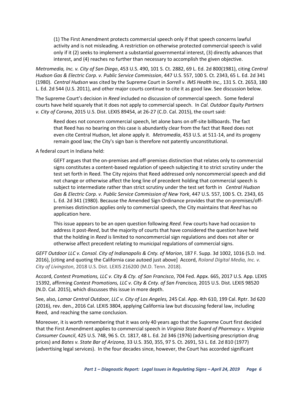(1) The First Amendment protects commercial speech only if that speech concerns lawful activity and is not misleading. A restriction on otherwise protected commercial speech is valid only if it (2) seeks to implement a substantial governmental interest, (3) directly advances that interest, and (4) reaches no further than necessary to accomplish the given objective.

*Metromedia, Inc. v. City of San Diego*, 453 U.S. 490, 101 S. Ct. 2882, 69 L. Ed. 2d 800(1981), citing *Central Hudson Gas & Electric Corp. v. Public Service Commission*, 447 U.S. 557, 100 S. Ct. 2343, 65 L. Ed. 2d 341 (1980). *Central Hudson* was cited by the Supreme Court in *Sorrell v. IMS Health Inc.,* 131 S. Ct. 2653, 180 L. Ed. 2d 544 (U.S. 2011), and other major courts continue to cite it as good law. See discussion below.

The Supreme Court's decision in *Reed* included no discussion of commercial speech. Some federal courts have held squarely that it does not apply to commercial speech. In *Cal. Outdoor Equity Partners v. City of Corona*, 2015 U.S. Dist. LEXIS 89454, at 26-27 (C.D. Cal. 2015), the court said:

Reed does not concern commercial speech, let alone bans on off-site billboards. The fact that Reed has no bearing on this case is abundantly clear from the fact that Reed does not even cite Central Hudson, let alone apply it. *Metromedia*, 453 U.S. at 511-14, and its progeny remain good law; the City's sign ban is therefore not patently unconstitutional.

A federal court in Indiana held:

GEFT argues that the on-premises and off-premises distinction that relates only to commercial signs constitutes a content-based regulation of speech subjecting it to strict scrutiny under the test set forth in Reed. The City rejoins that Reed addressed only noncommercial speech and did not change or otherwise affect the long line of precedent holding that commercial speech is subject to intermediate rather than strict scrutiny under the test set forth in *Central Hudson Gas & Electric Corp. v. Public Service Commission of New York*, 447 U.S. 557, 100 S. Ct. 2343, 65 L. Ed. 2d 341 (1980). Because the Amended Sign Ordinance provides that the on-premises/offpremises distinction applies only to commercial speech, the City maintains that *Reed* has no application here.

This issue appears to be an open question following *Reed*. Few courts have had occasion to address it post-*Reed*, but the majority of courts that have considered the question have held that the holding in *Reed* is limited to noncommercial sign regulations and does not alter or otherwise affect precedent relating to municipal regulations of commercial signs.

*GEFT Outdoor LLC v. Consol. City of Indianapolis & Cnty. of Marion*, 187 F. Supp. 3d 1002, 1016 (S.D. Ind. 2016), [citing and quoting the California case autoed just above] Accord, *Roland Digital Media, Inc. v. City of Livingston*, 2018 U.S. Dist. LEXIS 216200 (M.D. Tenn. 2018).

Accord, *Contest Promotions, LLC v. City & Cty. of San Francisco*, 704 Fed. Appx. 665, 2017 U.S. App. LEXIS 15392, affirming *Contest Promotions, LLC v. City & Cnty. of San Francisco,* 2015 U.S. Dist. LEXIS 98520 (N.D. Cal. 2015), which discusses this issue in more depth.

See, also, *Lamar Central Outdoor, LLC v. City of Los Angeles,* 245 Cal. App. 4th 610, 199 Cal. Rptr. 3d 620 (2016), rev. den., 2016 Cal. LEXIS 3804, applying California law but discussing federal law, including Reed, and reaching the same conclusion.

Moreover, it is worth remembering that it was only 40 years ago that the Supreme Court first decided that the First Amendment applies to commercial speech in *Virginia State Board of Pharmacy v. Virginia Consumer Council*, 425 U.S. 748, 96 S. Ct. 1817, 48 L. Ed. 2d 346 (1976) (advertising prescription drug prices) and *Bates v. State Bar of Arizona*, 33 U.S. 350, 355, 97 S. Ct. 2691, 53 L. Ed. 2d 810 (1977) (advertising legal services). In the four decades since, however, the Court has accorded significant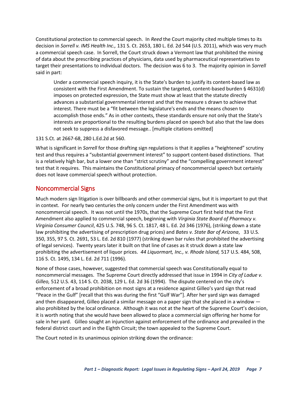Constitutional protection to commercial speech. In *Reed* the Court majority cited multiple times to its decision in *Sorrell v. IMS Health Inc.,* 131 S. Ct. 2653, 180 L. Ed. 2d 544 (U.S. 2011), which was very much a commercial speech case. In Sorrell, the Court struck down a Vermont law that prohibited the mining of data about the prescribing practices of physicians, data used by pharmaceutical representatives to target their presentations to individual doctors. The decision was 6 to 3. The majority opinion in *Sorrell*  said in part:

Under a commercial speech inquiry, it is the State's burden to justify its content-based law as consistent with the First Amendment. To sustain the targeted, content-based burden § 4631(d) imposes on protected expression, the State must show at least that the statute directly advances a substantial governmental interest and that the measure s drawn to achieve that interest. There must be a "fit between the legislature's ends and the means chosen to accomplish those ends." As in other contexts, these standards ensure not only that the State's interests are proportional to the resulting burdens placed on speech but also that the law does not seek to suppress a disfavored message.. [multiple citations omitted]

131 S.Ct. at 2667-68, 280 L.Ed.2d at 560.

What is significant in *Sorrell* for those drafting sign regulations is that it applies a "heightened" scrutiny test and thus requires a "substantial government interest" to support content-based distinctions. That is a relatively high bar, but a lower one than "strict scrutiny" and the "compelling government interest" test that it requires. This maintains the Constitutional primacy of noncommercial speech but certainly does not leave commercial speech without protection.

### <span id="page-8-0"></span>Noncommercial Signs

Much modern sign litigation is over billboards and other commercial signs, but it is important to put that in context. For nearly two centuries the only concern under the First Amendment was with noncommercial speech. It was not until the 1970s, that the Supreme Court first held that the First Amendment also applied to commercial speech, beginning with *Virginia State Board of Pharmacy v. Virginia Consumer Council*, 425 U.S. 748, 96 S. Ct. 1817, 48 L. Ed. 2d 346 (1976), (striking down a state law prohibiting the advertising of prescription drug prices) and *Bates v. State Bar of Arizona*, 33 U.S. 350, 355, 97 S. Ct. 2691, 53 L. Ed. 2d 810 (1977) (striking down bar rules that prohibited the advertising of legal services). Twenty years later it built on that line of cases as it struck down a state law prohibiting the advertisement of liquor prices. *44 Liquormart, Inc., v. Rhode Island,* 517 U.S. 484, 508, 116 S. Ct. 1495, 134 L. Ed. 2d 711 (1996).

None of those cases, however, suggested that commercial speech was Constitutionally equal to noncommercial messages. The Supreme Court directly addressed that issue in 1994 in *City of Ladue v. Gilleo,* 512 U.S. 43, 114 S. Ct. 2038, 129 L. Ed. 2d 36 (1994). The dispute centered on the city's enforcement of a broad prohibition on most signs at a residence against Gilleo's yard sign that read "Peace in the Gulf" [recall that this was during the first "Gulf War"]. After her yard sign was damaged and then disappeared, Gilleo placed a similar message on a paper sign that she placed in a window also prohibited by the local ordinance. Although it was not at the heart of the Supreme Court's decision, it is worth noting that she would have been allowed to place a commercial sign offering her home for sale in her yard. Gilleo sought an injunction against enforcement of the ordinance and prevailed in the federal district court and in the Eighth Circuit; the town appealed to the Supreme Court.

The Court noted in its unanimous opinion striking down the ordinance: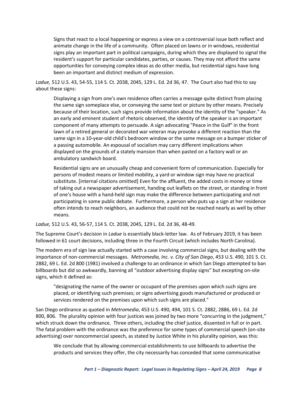Signs that react to a local happening or express a view on a controversial issue both reflect and animate change in the life of a community. Often placed on lawns or in windows, residential signs play an important part in political campaigns, during which they are displayed to signal the resident's support for particular candidates, parties, or causes. They may not afford the same opportunities for conveying complex ideas as do other media, but residential signs have long been an important and distinct medium of expression.

*Ladue,* 512 U.S. 43, 54-55, 114 S. Ct. 2038, 2045, 129 L. Ed. 2d 36, 47. The Court also had this to say about these signs:

Displaying a sign from one's own residence often carries a message quite distinct from placing the same sign someplace else, or conveying the same text or picture by other means. Precisely because of their location, such signs provide information about the identity of the "speaker." As an early and eminent student of rhetoric observed, the identity of the speaker is an important component of many attempts to persuade. A sign advocating "Peace in the Gulf" in the front lawn of a retired general or decorated war veteran may provoke a different reaction than the same sign in a 10-year-old child's bedroom window or the same message on a bumper sticker of a passing automobile. An espousal of socialism may carry different implications when displayed on the grounds of a stately mansion than when pasted on a factory wall or an ambulatory sandwich board.

Residential signs are an unusually cheap and convenient form of communication. Especially for persons of modest means or limited mobility, a yard or window sign may have no practical substitute. [internal citations omitted] Even for the affluent, the added costs in money or time of taking out a newspaper advertisement, handing out leaflets on the street, or standing in front of one's house with a hand-held sign may make the difference between participating and not participating in some public debate. Furthermore, a person who puts up a sign at her residence often intends to reach neighbors, an audience that could not be reached nearly as well by other means.

*Ladue,* 512 U.S. 43, 56-57, 114 S. Ct. 2038, 2045, 129 L. Ed. 2d 36, 48-49.

The Supreme Court's decision in *Ladue* is essentially black-letter law. As of February 2019, it has been followed in 61 court decisions, including three in the Fourth Circuit (which includes North Carolina).

The modern era of sign law actually started with a case involving commercial signs, but dealing with the importance of non-commercial messages. *Metromedia, Inc. v. City of San Diego*, 453 U.S. 490, 101 S. Ct. 2882, 69 L. Ed. 2d 800 (1981) involved a challenge to an ordinance in which San Diego attempted to ban billboards but did so awkwardly, banning all "outdoor advertising display signs" but excepting on-site signs, which it defined as:

"designating the name of the owner or occupant of the premises upon which such signs are placed, or identifying such premises; or signs advertising goods manufactured or produced or services rendered on the premises upon which such signs are placed."

San Diego ordinance as quoted in *Metromedia*, 453 U.S. 490, 494, 101 S. Ct. 2882, 2886, 69 L. Ed. 2d 800, 806. The plurality opinion with four justices was joined by two more "concurring in the judgment," which struck down the ordinance. Three others, including the chief justice, dissented in full or in part. The fatal problem with the ordinance was the preference for some types of commercial speech (on-site advertising) over noncommercial speech, as stated by Justice White in his plurality opinion, was this:

We conclude that by allowing commercial establishments to use billboards to advertise the products and services they offer, the city necessarily has conceded that some communicative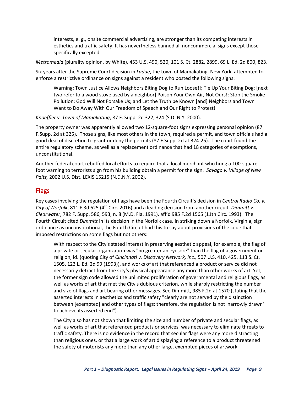interests, e. g., onsite commercial advertising, are stronger than its competing interests in esthetics and traffic safety. It has nevertheless banned all noncommercial signs except those specifically excepted.

*Metromedia* (plurality opinion, by White), 453 U.S. 490, 520, 101 S. Ct. 2882, 2899, 69 L. Ed. 2d 800, 823.

Six years after the Supreme Court decision in *Ladue*, the town of Mamakating, New York, attempted to enforce a restrictive ordinance on signs against a resident who posted the following signs:

Warning: Town Justice Allows Neighbors Biting Dog to Run Loose!!; Tie Up Your Biting Dog; [next two refer to a wood stove used by a neighbor] Poison Your Own Air, Not Ours!; Stop the Smoke Pollution; God Will Not Forsake Us; and Let the Truth be Known [and] Neighbors and Town Want to Do Away With Our Freedom of Speech and Our Right to Protest!

*Knoeffler v. Town of Mamakating*, 87 F. Supp. 2d 322, 324 (S.D. N.Y. 2000).

The property owner was apparently allowed two 12-square-foot signs expressing personal opinion (87 F.Supp. 2d at 325). Those signs, like most others in the town, required a permit, and town officials had a good deal of discretion to grant or deny the permits (87 F.Supp. 2d at 324-25). The court found the entire regulatory scheme, as well as a replacement ordinance that had 18 categories of exemptions, unconstitutional.

Another federal court rebuffed local efforts to require that a local merchant who hung a 100-squarefoot warning to terrorists sign from his building obtain a permit for the sign. *Savago v. Village of New Paltz,* 2002 U.S. Dist. LEXIS 15215 (N.D.N.Y. 2002).

## <span id="page-10-0"></span>Flags

Key cases involving the regulation of flags have been the Fourth Circuit's decision in *Central Radio Co. v. City of Norfolk*, 811 F.3d 625 (4th Circ. 2016) and a leading decision from another circuit, *Dimmitt v. Clearwater*, 782 F. Supp. 586, 593, n. 8 (M.D. Fla. 1991), aff'd 985 F.2d 1565 (11th Circ. 1993). The Fourth Circuit cited *Dimmitt* in its decision in the Norfolk case. In striking down a Norfolk, Virginia, sign ordinance as unconstitutional, the Fourth Circuit had this to say about provisions of the code that imposed restrictions on some flags but not others:

With respect to the City's stated interest in preserving aesthetic appeal, for example, the flag of a private or secular organization was "no greater an eyesore" than the flag of a government or religion, id. (quoting City of *Cincinnati v. Discovery Network, Inc.,* 507 U.S. 410, 425, 113 S. Ct. 1505, 123 L. Ed. 2d 99 (1993)), and works of art that referenced a product or service did not necessarily detract from the City's physical appearance any more than other works of art. Yet, the former sign code allowed the unlimited proliferation of governmental and religious flags, as well as works of art that met the City's dubious criterion, while sharply restricting the number and size of flags and art bearing other messages. See Dimmitt, 985 F.2d at 1570 (stating that the asserted interests in aesthetics and traffic safety "clearly are not served by the distinction between [exempted] and other types of flags; therefore, the regulation is not 'narrowly drawn' to achieve its asserted end").

The City also has not shown that limiting the size and number of private and secular flags, as well as works of art that referenced products or services, was necessary to eliminate threats to traffic safety. There is no evidence in the record that secular flags were any more distracting than religious ones, or that a large work of art displaying a reference to a product threatened the safety of motorists any more than any other large, exempted pieces of artwork.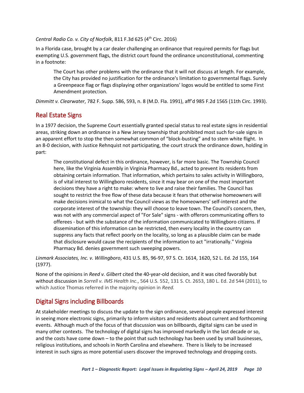*Central Radio Co. v. City of Norfolk*, 811 F.3d 625 (4th Circ. 2016)

In a Florida case, brought by a car dealer challenging an ordinance that required permits for flags but exempting U.S. government flags, the district court found the ordinance unconstitutional, commenting in a footnote:

The Court has other problems with the ordinance that it will not discuss at length. For example, the City has provided no justification for the ordinance's limitation to governmental flags. Surely a Greenpeace flag or flags displaying other organizations' logos would be entitled to some First Amendment protection.

*Dimmitt v. Clearwater*, 782 F. Supp. 586, 593, n. 8 (M.D. Fla. 1991), aff'd 985 F.2d 1565 (11th Circ. 1993).

# <span id="page-11-0"></span>Real Estate Signs

In a 1977 decision, the Supreme Court essentially granted special status to real estate signs in residential areas, striking down an ordinance in a New Jersey township that prohibited most such for-sale signs in an apparent effort to stop the then somewhat common of "block-busting" and to stem white flight. In an 8-0 decision, with Justice Rehnquist not participating, the court struck the ordinance down, holding in part:

The constitutional defect in this ordinance, however, is far more basic. The Township Council here, like the Virginia Assembly in Virginia Pharmacy Bd., acted to prevent its residents from obtaining certain information. That information, which pertains to sales activity in Willingboro, is of vital interest to Willingboro residents, since it may bear on one of the most important decisions they have a right to make: where to live and raise their families. The Council has sought to restrict the free flow of these data because it fears that otherwise homeowners will make decisions inimical to what the Council views as the homeowners' self-interest and the corporate interest of the township: they will choose to leave town. The Council's concern, then, was not with any commercial aspect of "For Sale" signs - with offerors communicating offers to offerees - but with the substance of the information communicated to Willingboro citizens. If dissemination of this information can be restricted, then every locality in the country can suppress any facts that reflect poorly on the locality, so long as a plausible claim can be made that disclosure would cause the recipients of the information to act "irrationally." Virginia Pharmacy Bd. denies government such sweeping powers.

*Linmark Associates, Inc. v. Willingboro*, 431 U.S. 85, 96-97, 97 S. Ct. 1614, 1620, 52 L. Ed. 2d 155, 164 (1977).

None of the opinions in *Reed v. Gilbert* cited the 40-year-old decision, and it was cited favorably but without discussion in *Sorrell v. IMS Health Inc*., 564 U.S. 552, 131 S. Ct. 2653, 180 L. Ed. 2d 544 (2011), to which Justice Thomas referred in the majority opinion in *Reed.*

# <span id="page-11-1"></span>Digital Signs including Billboards

At stakeholder meetings to discuss the update to the sign ordinance, several people expressed interest in seeing more electronic signs, primarily to inform visitors and residents about current and forthcoming events. Although much of the focus of that discussion was on billboards, digital signs can be used in many other contexts. The technology of digital signs has improved markedly in the last decade or so, and the costs have come down – to the point that such technology has been used by small businesses, religious institutions, and schools in North Carolina and elsewhere. There is likely to be increased interest in such signs as more potential users discover the improved technology and dropping costs.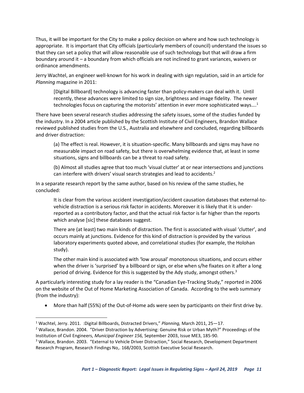Thus, it will be important for the City to make a policy decision on where and how such technology is appropriate. It is important that City officials (particularly members of council) understand the issues so that they can set a policy that will allow reasonable use of such technology but that will draw a firm boundary around it – a boundary from which officials are not inclined to grant variances, waivers or ordinance amendments.

Jerry Wachtel, an engineer well-known for his work in dealing with sign regulation, said in an article for *Planning* magazine in 2011:

[Digital Billboard] technology is advancing faster than policy-makers can deal with it. Until recently, these advances were limited to sign size, brightness and image fidelity. The newer technologies focus on capturing the motorists' attention in ever more sophisticated ways....<sup>1</sup>

There have been several research studies addressing the safety issues, some of the studies funded by the industry. In a 2004 article published by the Scottish Institute of Civil Engineers, Brandon Wallace reviewed published studies from the U.S., Australia and elsewhere and concluded, regarding billboards and driver distraction:

(a) The effect is real. However, it is situation-specific. Many billboards and signs may have no measurable impact on road safety, but there is overwhelming evidence that, at least in some situations, signs and billboards can be a threat to road safety.

(b) Almost all studies agree that too much 'visual clutter' at or near intersections and junctions can interfere with drivers' visual search strategies and lead to accidents.<sup>2</sup>

In a separate research report by the same author, based on his review of the same studies, he concluded:

It is clear from the various accident investigation/accident causation databases that external-tovehicle distraction is a serious risk factor in accidents. Moreover it is likely that it is underreported as a contributory factor, and that the actual risk factor is far higher than the reports which analyse [sic] these databases suggest.

There are (at least) two main kinds of distraction. The first is associated with visual 'clutter', and occurs mainly at junctions. Evidence for this kind of distraction is provided by the various laboratory experiments quoted above, and correlational studies (for example, the Holohan study).

The other main kind is associated with 'low arousal' monotonous situations, and occurs either when the driver is 'surprised' by a billboard or sign, or else when s/he fixates on it after a long period of driving. Evidence for this is suggested by the Ady study, amongst others.<sup>3</sup>

A particularly interesting study for a lay reader is the "Canadian Eye-Tracking Study," reported in 2006 on the website of the Out of Home Marketing Association of Canada. According to the web summary (from the industry):

• More than half (55%) of the Out-of-Home ads were seen by participants on their first drive by.

 $\overline{\phantom{a}}$ 

<sup>1</sup> Wachtel, Jerry. 2011. :Digital Billboards, Distracted Drivers," *Planning,* March 2011, 25—17.

<sup>&</sup>lt;sup>2</sup> Wallace, Brandon. 2004. "Driver Distraction by Advertising: Genuine Risk or Urban Myth?" Proceedings of the Institution of Civil Engineers, *Municipal Engineer 156,* September 2003, Issue ME3, 185-90.

<sup>&</sup>lt;sup>3</sup> Wallace, Brandon. 2003. "External to Vehicle Driver Distraction," Social Research, Development Department Research Program, Research Findings No,. 168/2003, Scottish Executive Social Research.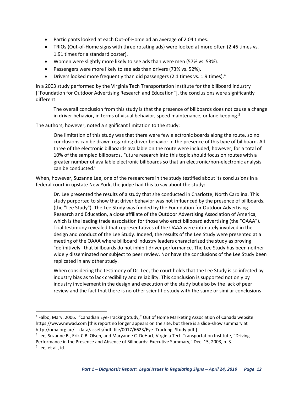- Participants looked at each Out-of-Home ad an average of 2.04 times.
- TRIOs (Out-of-Home signs with three rotating ads) were looked at more often (2.46 times vs. 1.91 times for a standard poster).
- Women were slightly more likely to see ads than were men (57% vs. 53%).
- Passengers were more likely to see ads than drivers (73% vs. 52%).
- Drivers looked more frequently than did passengers (2.1 times vs. 1.9 times).<sup>4</sup>

In a 2003 study performed by the Virginia Tech Transportation Institute for the billboard industry ["Foundation for Outdoor Advertising Research and Education"], the conclusions were significantly different:

The overall conclusion from this study is that the presence of billboards does not cause a change in driver behavior, in terms of visual behavior, speed maintenance, or lane keeping. $5$ 

The authors, however, noted a significant limitation to the study:

One limitation of this study was that there were few electronic boards along the route, so no conclusions can be drawn regarding driver behavior in the presence of this type of billboard. All three of the electronic billboards available on the route were included, however, for a total of 10% of the sampled billboards. Future research into this topic should focus on routes with a greater number of available electronic billboards so that an electronic/non-electronic analysis can be conducted.<sup>6</sup>

When, however, Suzanne Lee, one of the researchers in the study testified about its conclusions in a federal court in upstate New York, the judge had this to say about the study:

Dr. Lee presented the results of a study that she conducted in Charlotte, North Carolina. This study purported to show that driver behavior was not influenced by the presence of billboards. (the "Lee Study"). The Lee Study was funded by the Foundation for Outdoor Advertising Research and Education, a close affiliate of the Outdoor Advertising Association of America, which is the leading trade association for those who erect billboard advertising (the "OAAA"). Trial testimony revealed that representatives of the OAAA were intimately involved in the design and conduct of the Lee Study. Indeed, the results of the Lee Study were presented at a meeting of the OAAA where billboard industry leaders characterized the study as proving "definitively" that billboards do not inhibit driver performance. The Lee Study has been neither widely disseminated nor subject to peer review. Nor have the conclusions of the Lee Study been replicated in any other study.

When considering the testimony of Dr. Lee, the court holds that the Lee Study is so infected by industry bias as to lack credibility and reliability. This conclusion is supported not only by industry involvement in the design and execution of the study but also by the lack of peer review and the fact that there is no other scientific study with the same or similar conclusions

<sup>5</sup> Lee, Suzanne B., Erik C.B. Olsen, and Maryanne C. DeHart, Virginia Tech Transportation Institute, "Driving Performance in the Presence and Absence of Billboards: Executive Summary," Dec. 15, 2003, p. 3.

 $\overline{\phantom{a}}$ 

<sup>4</sup> Falbo, Mary. 2006. "Canadian Eye-Tracking Study," Out of Home Marketing Association of Canada website [https://www.newad.com](https://www.newad.com/) [this report no longer appears on the site, but there is a slide-show summary at http://oma.org.au/ data/assets/pdf file/0017/6623/Eye\_Tracking\_Study.pdf ]

<sup>6</sup> Lee, et al., id.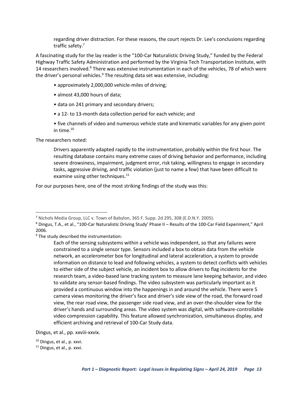regarding driver distraction. For these reasons, the court rejects Dr. Lee's conclusions regarding traffic safety.<sup>7</sup>

A fascinating study for the lay reader is the "100-Car Naturalistic Driving Study," funded by the Federal Highway Traffic Safety Administration and performed by the Virginia Tech Transportation Institute, with 14 researchers involved.<sup>8</sup> There was extensive instrumentation in each of the vehicles, 78 of which were the driver's personal vehicles. $9$  The resulting data set was extensive, including:

- approximately 2,000,000 vehicle-miles of driving;
- almost 43,000 hours of data;
- data on 241 primary and secondary drivers;
- a 12- to 13-month data collection period for each vehicle; and
- five channels of video and numerous vehicle state and kinematic variables for any given point in time. $10$

The researchers noted:

 $\overline{a}$ 

Drivers apparently adapted rapidly to the instrumentation, probably within the first hour. The resulting database contains many extreme cases of driving behavior and performance, including severe drowsiness, impairment, judgment error, risk taking, willingness to engage in secondary tasks, aggressive driving, and traffic violation (just to name a few) that have been difficult to examine using other techniques. $^{11}$ 

For our purposes here, one of the most striking findings of the study was this:

Dingus, et al., pp. xxviii-xxvix.

<sup>7</sup> Nichols Media Group, LLC v. Town of Babylon, 365 F. Supp. 2d 295, 308 (E.D.N.Y. 2005).

<sup>8</sup> Dingus, T.A., et al., "100-Car Naturalistic Driving Study' Phase II – Results of the 100-Car Field Experiment," April 2006.

<sup>&</sup>lt;sup>9</sup> The study described the instrumentation:

Each of the sensing subsystems within a vehicle was independent, so that any failures were constrained to a single sensor type. Sensors included a box to obtain data from the vehicle network, an accelerometer box for longitudinal and lateral acceleration, a system to provide information on distance to lead and following vehicles, a system to detect conflicts with vehicles to either side of the subject vehicle, an incident box to allow drivers to flag incidents for the research team, a video-based lane tracking system to measure lane keeping behavior, and video to validate any sensor-based findings. The video subsystem was particularly important as it provided a continuous window into the happenings in and around the vehicle. There were 5 camera views monitoring the driver's face and driver's side view of the road, the forward road view, the rear road view, the passenger side road view, and an over-the-shoulder view for the driver's hands and surrounding areas. The video system was digital, with software-controllable video compression capability. This feature allowed synchronization, simultaneous display, and efficient archiving and retrieval of 100-Car Study data.

<sup>10</sup> Dingus, et al., p. xxvi.

<sup>&</sup>lt;sup>11</sup> Dingus, et al., p. xxvi.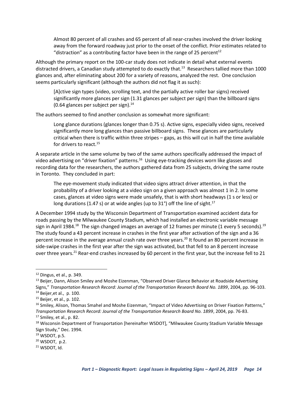Almost 80 percent of all crashes and 65 percent of all near-crashes involved the driver looking away from the forward roadway just prior to the onset of the conflict. Prior estimates related to "distraction" as a contributing factor have been in the range of 25 percent<sup>12</sup>

Although the primary report on the 100-car study does not indicate in detail what external events distracted drivers, a Canadian study attempted to do exactly that.<sup>13</sup> Researchers tallied more than 1000 glances and, after eliminating about 200 for a variety of reasons, analyzed the rest. One conclusion seems particularly significant (although the authors did not flag it as such):

[A]ctive sign types (video, scrolling text, and the partially active roller bar signs) received significantly more glances per sign (1.31 glances per subject per sign) than the billboard signs  $(0.64$  glances per subject per sign).<sup>14</sup>

The authors seemed to find another conclusion as somewhat more significant:

Long glance durations (glances longer than 0.75 s). Active signs, especially video signs, received significantly more long glances than passive billboard signs. These glances are particularly critical when there is traffic within three stripes – gaps, as this will cut in half the time available for drivers to react.<sup>15</sup>

A separate article in the same volume by two of the same authors specifically addressed the impact of video advertising on "driver fixation" patterns.<sup>16</sup> Using eye-tracking devices worn like glasses and recording data for the researchers, the authors gathered data from 25 subjects, driving the same route in Toronto. They concluded in part:

The eye-movement study indicated that video signs attract driver attention, in that the probability of a driver looking at a video sign on a given approach was almost 1 in 2. In some cases, glances at video signs were made unsafely, that is with short headways (1 s or less) or long durations (1.47 s) or at wide angles (up to 31°) off the line of sight.<sup>17</sup>

A December 1994 study by the Wisconsin Department of Transportation examined accident data for roads passing by the Milwaukee County Stadium, which had installed an electronic variable message sign in April 1984.<sup>18</sup> The sign changed images an average of 12 frames per minute (1 every 5 seconds).<sup>19</sup> The study found a 43 percent increase in crashes in the first year after activation of the sign and a 36 percent increase in the average annual crash rate over three years.<sup>20</sup> It found an 80 percent increase in side-swipe crashes in the first year after the sign was activated, but that fell to an 8 percent increase over three years.<sup>21</sup> Rear-end crashes increased by 60 percent in the first year, but the increase fell to 21

 $\overline{\phantom{a}}$ 

<sup>12</sup> Dingus, et al., p. 349.

<sup>&</sup>lt;sup>13</sup> Beijer, Dann, Alison Smiley and Moshe Eizenman, "Observed Driver Glance Behavior at Roadside Advertising Signs," *Transportation Research Record: Journal of the Transportation Research Board No. 1899*, 2004, pp. 96-103.  $14$  Beijer, et al., p. 100.

<sup>15</sup> Beijer, et al., p. 102.

<sup>&</sup>lt;sup>16</sup> Smiley, Alison, Thomas Smahel and Moshe Eizenman, "Impact of Video Advertising on Driver Fixation Patterns," *Transportation Research Record: Journal of the Transportation Research Board No. 1899*, 2004, pp. 76-83.  $17$  Smiley, et al., p. 82.

<sup>&</sup>lt;sup>18</sup> Wisconsin Department of Transportation [hereinafter WSDOT], "Milwaukee County Stadium Variable Message Sign Study," Dec. 1994.

<sup>19</sup> WSDOT, p.5.

<sup>20</sup> WSDOT, p.2.

<sup>21</sup> WSDOT, Id.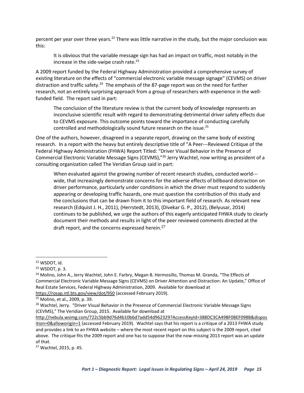percent per year over three years.<sup>22</sup> There was little narrative in the study, but the major conclusion was this:

It is obvious that the variable message sign has had an impact on traffic, most notably in the increase in the side-swipe crash rate. $^{23}$ 

A 2009 report funded by the Federal Highway Administration provided a comprehensive survey of existing literature on the effects of "commercial electronic variable message signage" (CEVMS) on driver distraction and traffic safety.<sup>24</sup> The emphasis of the 87-page report was on the need for further research, not an entirely surprising approach from a group of researchers with experience in the wellfunded field. The report said in part:

The conclusion of the literature review is that the current body of knowledge represents an inconclusive scientific result with regard to demonstrating detrimental driver safety effects due to CEVMS exposure. This outcome points toward the importance of conducting carefully controlled and methodologically sound future research on the issue.<sup>25</sup>

One of the authors, however, disagreed in a separate report, drawing on the same body of existing research. In a report with the heavy but entirely descriptive title of "A Peer--‐Reviewed Critique of the Federal Highway Administration (FHWA) Report Titled: "Driver Visual Behavior in the Presence of Commercial Electronic Variable Message Signs (CEVMS),"<sup>26</sup> Jerry Wachtel, now writing as president of a consulting organization called The Veridian Group said in part:

When evaluated against the growing number of recent research studies, conducted world--‐ wide, that increasingly demonstrate concerns for the adverse effects of billboard distraction on driver performance, particularly under conditions in which the driver must respond to suddenly appearing or developing traffic hazards, one must question the contribution of this study and the conclusions that can be drawn from it to this important field of research. As relevant new research (Edquist J. H., 2011), (Herrstedt, 2013), (Divekar G. P., 2012), (Belyusar, 2014) continues to be published, we urge the authors of this eagerly anticipated FHWA study to clearly document their methods and results in light of the peer reviewed comments directed at the draft report, and the concerns expressed herein.<sup>27</sup>

l

<sup>27</sup> Wachtel, 2015, p. 45.

<sup>22</sup> WSDOT, id.

<sup>23</sup> WSDOT, p. 3.

<sup>&</sup>lt;sup>24</sup> Molino, John A., Jerry Wachtel, John E. Farbry, Megan B. Hermosillo, Thomas M. Granda, "The Effects of Commercial Electronic Variable Message Signs (CEVMS) on Driver Attention and Distraction: An Update," Office of Real Estate Services, Federal Highway Administration, 2009. Available for download at <https://rosap.ntl.bts.gov/view/dot/950> (accessed February 2019).

<sup>25</sup> Molino, et al., 2009, p. 39.

<sup>&</sup>lt;sup>26</sup> Wachtel, Jerry. "Driver Visual Behavior in the Presence of Commercial Electronic Variable Message Signs (CEVMS)," The Veridian Group, 2015. Available for download at

[http://nebula.wsimg.com/722c5bb9d76d4b10b6d7add54d962329?AccessKeyId=388DC3CA49BF0BEF098B&dispos](http://nebula.wsimg.com/722c5bb9d76d4b10b6d7add54d962329?AccessKeyId=388DC3CA49BF0BEF098B&disposition=0&alloworigin=1)

[ition=0&alloworigin=1](http://nebula.wsimg.com/722c5bb9d76d4b10b6d7add54d962329?AccessKeyId=388DC3CA49BF0BEF098B&disposition=0&alloworigin=1) (accessed February 2019). Wachtel says that his report is a critique of a 2013 FHWA study and provides a link to an FHWA website – where the most recent report on this subject is the 2009 report, cited above. The critique fits the 2009 report and one has to suppose that the now-missing 2013 report was an update of that.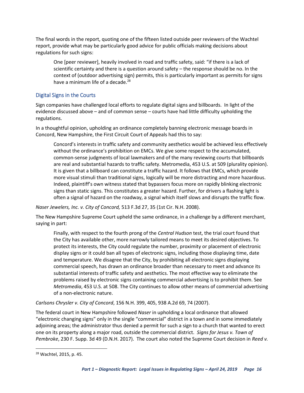The final words in the report, quoting one of the fifteen listed outside peer reviewers of the Wachtel report, provide what may be particularly good advice for public officials making decisions about regulations for such signs:

One [peer reviewer], heavily involved in road and traffic safety, said: "if there is a lack of scientific certainty and there is a question around safety – the response should be no. In the context of (outdoor advertising sign) permits, this is particularly important as permits for signs have a minimum life of a decade. $^{28}$ 

#### <span id="page-17-0"></span>Digital Signs in the Courts

Sign companies have challenged local efforts to regulate digital signs and billboards. In light of the evidence discussed above – and of common sense – courts have had little difficulty upholding the regulations.

In a thoughtful opinion, upholding an ordinance completely banning electronic message boards in Concord, New Hampshire, the First Circuit Court of Appeals had this to say:

Concord's interests in traffic safety and community aesthetics would be achieved less effectively without the ordinance's prohibition on EMCs. We give some respect to the accumulated, common-sense judgments of local lawmakers and of the many reviewing courts that billboards are real and substantial hazards to traffic safety. Metromedia, 453 U.S. at 509 (plurality opinion). It is given that a billboard can constitute a traffic hazard. It follows that EMCs, which provide more visual stimuli than traditional signs, logically will be more distracting and more hazardous. Indeed, plaintiff's own witness stated that bypassers focus more on rapidly blinking electronic signs than static signs. This constitutes a greater hazard. Further, for drivers a flashing light is often a signal of hazard on the roadway, a signal which itself slows and disrupts the traffic flow.

*Naser Jewelers, Inc. v. City of Concord,* 513 F.3d 27, 35 (1st Cir. N.H. 2008).

The New Hampshire Supreme Court upheld the same ordinance, in a challenge by a different merchant, saying in part:

Finally, with respect to the fourth prong of the *Central Hudson* test, the trial court found that the City has available other, more narrowly tailored means to meet its desired objectives. To protect its interests, the City could regulate the number, proximity or placement of electronic display signs or it could ban all types of electronic signs, including those displaying time, date and temperature. We disagree that the City, by prohibiting all electronic signs displaying commercial speech, has drawn an ordinance broader than necessary to meet and advance its substantial interests of traffic safety and aesthetics. The most effective way to eliminate the problems raised by electronic signs containing commercial advertising is to prohibit them. See *Metromedia*, 453 U.S. at 508. The City continues to allow other means of commercial advertising of a non-electronic nature.

#### *Carlsons Chrysler v. City of Concord*, 156 N.H. 399, 405, 938 A.2d 69, 74 (2007).

The federal court in New Hampshire followed *Naser* in upholding a local ordinance that allowed "electronic changing signs" only in the single "commercial" district in a town and in some immediately adjoining areas; the administrator thus denied a permit for such a sign to a church that wanted to erect one on its property along a major road, outside the commercial district. *Signs for Jesus v. Town of Pembroke*, 230 F. Supp. 3d 49 (D.N.H. 2017). The court also noted the Supreme Court decision in *Reed v.* 

 $\overline{\phantom{a}}$ 

<sup>28</sup> Wachtel, 2015, p. 45.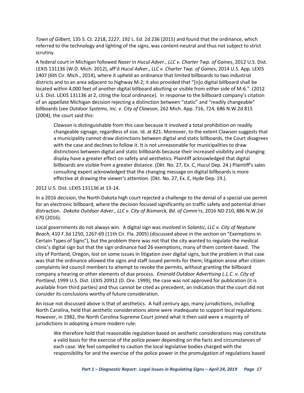*Town of Gilbert*, 135 S. Ct. 2218, 2227, 192 L. Ed. 2d 236 (2015) and found that the ordinance, which referred to the technology and lighting of the signs, was content-neutral and thus not subject to strict scrutiny.

A federal court in Michigan followed *Naser* in *Hucul Adver., LLC v. Charter Twp. of Gaines*, 2012 U.S. Dist. LEXIS 131136 (W.D. Mich. 2012), aff'd *Hucul Adver., LLC v. Charter Twp. of Gaines*, 2014 U.S. App. LEXIS 2407 (6th Cir. Mich., 2014), where it upheld an ordinance that limited billboards to two industrial districts and to an area adjacent to highway M-2; it also provided that "[n]o digital billboard shall be located within 4,000 feet of another digital billboard abutting or visible from either side of M-6." (2012 U.S. Dist. LEXIS 131136 at 2, citing the local ordinance). In response to the billboard company's citation of an appellate Michigan decision rejecting a distinction between "static" and "readily changeable" billboards (see *Outdoor Systems, Inc. v. City of Clawson*, 262 Mich. App. 716, 724, 686 N.W.2d 815 (2004), the court said this:

*Clawson* is distinguishable from this case because it involved a total prohibition on readily changeable signage, regardless of size. Id. at 821. Moreover, to the extent Clawson suggests that a municipality cannot draw distinctions between digital and static billboards, the Court disagrees with the case and declines to follow it. It is not unreasonable for municipalities to draw distinctions between digital and static billboards because their increased visibility and changing display have a greater effect on safety and aesthetics. Plaintiff acknowledged that digital billboards are visible from a greater distance. (Dkt. No. 27, Ex. C, Hucul Dep. 24.) Plaintiff's sales consulting expert acknowledged that the changing message on digital billboards is more effective at drawing the viewer's attention. (Dkt. No. 27, Ex. E, Hyde Dep. 19.).

#### 2012 U.S. Dist. LEXIS 131136 at 13-14.

In a 2016 decision, the North Dakota high court rejected a challenge to the denial of a special use permit for an electronic billboard, where the decision focused significantly on traffic safety and potential driver distraction. *Dakota Outdoor Adver., LLC v. City of Bismarck, Bd. of Comm'rs*, 2016 ND 210, 886 N.W.2d 670 (2016).

Local governments do not always win. A digital sign was involved in *Solantic, LLC v. City of Neptune Beach*, 410 F.3d 1250, 1267-69 (11th Cir. Fla. 2005) (discussed above in the section on "Exemptions in Certain Types of Signs"), but the problem there was not that the city wanted to regulate the medical clinic's digital sign but that the sign ordinance had 26 exemptions, many of them content-based. The city of Portland, Oregon, lost on some issues in litigation over digital signs, but the problem in that case was that the ordinance allowed the signs and staff issued permits for them; litigation arose after citizen complaints led council members to attempt to revoke the permits, without granting the billboard company a hearing or other elements of due process. *Emerald Outdoor Advertising L.L.C. v. City of Portland*, 1999 U.S. Dist. LEXIS 20912 (D. Ore. 1999); the case was not approved for publication (it is available from third parties) and thus cannot be cited as precedent, an indication that the court did not consider its conclusions worthy of future consideration.

An issue not discussed above is that of aesthetics. A half century ago, many jurisdictions, including North Carolina, held that aesthetic considerations alone were inadequate to support local regulations. However, in 1982, the North Carolina Supreme Court joined what it then said were a majority of jurisdictions in adopting a more modern rule:

We therefore hold that reasonable regulation based on aesthetic considerations may constitute a valid basis for the exercise of the police power depending on the facts and circumstances of each case. We feel compelled to caution the local legislative bodies charged with the responsibility for and the exercise of the police power in the promulgation of regulations based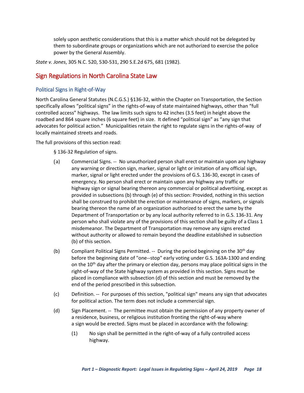solely upon aesthetic considerations that this is a matter which should not be delegated by them to subordinate groups or organizations which are not authorized to exercise the police power by the General Assembly.

*State v. Jones*, 305 N.C. 520, 530-531, 290 S.E.2d 675, 681 (1982).

### <span id="page-19-0"></span>Sign Regulations in North Carolina State Law

#### <span id="page-19-1"></span>Political Signs in Right-of-Way

North Carolina General Statutes (N.C.G.S.) §136-32, within the Chapter on Transportation, the Section specifically allows "political signs" in the rights-of-way of state maintained highways, other than "full controlled access" highways. The law limits such signs to 42 inches (3.5 feet) in height above the roadbed and 864 square inches (6 square feet) in size. It defined "political sign" as "any sign that advocates for political action." Municipalities retain the right to regulate signs in the rights-of-way of locally maintained streets and roads.

The full provisions of this section read:

§ 136-32 Regulation of signs.

- (a) Commercial Signs. -- No unauthorized person shall erect or maintain upon any highway any warning or direction sign, marker, signal or light or imitation of any official sign, marker, signal or light erected under the provisions of G.S. 136-30, except in cases of emergency. No person shall erect or maintain upon any highway any traffic or highway sign or signal bearing thereon any commercial or political advertising, except as provided in subsections (b) through (e) of this section: Provided, nothing in this section shall be construed to prohibit the erection or maintenance of signs, markers, or signals bearing thereon the name of an organization authorized to erect the same by the Department of Transportation or by any local authority referred to in G.S. 136-31. Any person who shall violate any of the provisions of this section shall be guilty of a Class 1 misdemeanor. The Department of Transportation may remove any signs erected without authority or allowed to remain beyond the deadline established in subsection (b) of this section.
- (b) Compliant Political Signs Permitted. -- During the period beginning on the 30<sup>th</sup> day before the beginning date of "one--stop" early voting under G.S. 163A-1300 and ending on the 10<sup>th</sup> day after the primary or election day, persons may place political signs in the right-of-way of the State highway system as provided in this section. Signs must be placed in compliance with subsection (d) of this section and must be removed by the end of the period prescribed in this subsection.
- (c) Definition. -- For purposes of this section, "political sign" means any sign that advocates for political action. The term does not include a commercial sign.
- (d) Sign Placement. -- The permittee must obtain the permission of any property owner of a residence, business, or religious institution fronting the right-of-way where a sign would be erected. Signs must be placed in accordance with the following:
	- (1) No sign shall be permitted in the right-of-way of a fully controlled access highway.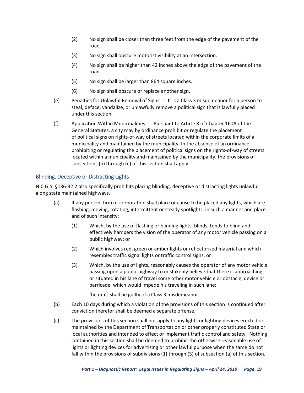- (2) No sign shall be closer than three feet from the edge of the pavement of the road.
- (3) No sign shall obscure motorist visibility at an intersection.
- (4) No sign shall be higher than 42 inches above the edge of the pavement of the road.
- (5) No sign shall be larger than 864 square inches.
- (6) No sign shall obscure or replace another sign.
- (e) Penalties for Unlawful Removal of Signs. -- It is a Class 3 misdemeanor for a person to steal, deface, vandalize, or unlawfully remove a political sign that is lawfully placed under this section.
- (f) Application Within Municipalities. -- Pursuant to Article 8 of Chapter 160A of the General Statutes, a city may by ordinance prohibit or regulate the placement of political signs on rights-of-way of streets located within the corporate limits of a municipality and maintained by the municipality. In the absence of an ordinance prohibiting or regulating the placement of political signs on the rights-of-way of streets located within a municipality and maintained by the municipality, the provisions of subsections (b) through (e) of this section shall apply.

#### <span id="page-20-0"></span>Blinding, Deceptive or Distracting Lights

N.C.G.S. §136-32.2 also specifically prohibits placing blinding, deceptive or distracting lights unlawful along state maintained highways.

- (a) If any person, firm or corporation shall place or cause to be placed any lights, which are flashing, moving, rotating, intermittent or steady spotlights, in such a manner and place and of such intensity:
	- (1) Which, by the use of flashing or blinding lights, blinds, tends to blind and effectively hampers the vision of the operator of any motor vehicle passing on a public highway; or
	- (2) Which involves red, green or amber lights or reflectorized material and which resembles traffic signal lights or traffic control signs; or
	- (3) Which, by the use of lights, reasonably causes the operator of any motor vehicle passing upon a public highway to mistakenly believe that there is approaching or situated in his lane of travel some other motor vehicle or obstacle, device or barricade, which would impede his traveling in such lane;

[he or it] shall be guilty of a Class 3 misdemeanor.

- (b) Each 10 days during which a violation of the provisions of this section is continued after conviction therefor shall be deemed a separate offense.
- (c) The provisions of this section shall not apply to any lights or lighting devices erected or maintained by the Department of Transportation or other properly constituted State or local authorities and intended to effect or implement traffic control and safety. Nothing contained in this section shall be deemed to prohibit the otherwise reasonable use of lights or lighting devices for advertising or other lawful purpose when the same do not fall within the provisions of subdivisions (1) through (3) of subsection (a) of this section.